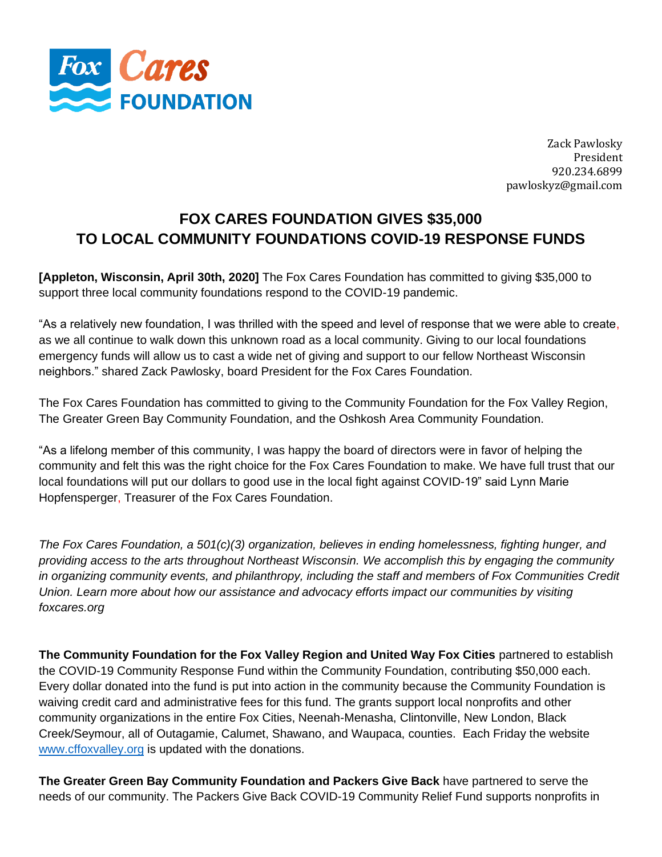

Zack Pawlosky President 920.234.6899 pawloskyz@gmail.com

## **FOX CARES FOUNDATION GIVES \$35,000 TO LOCAL COMMUNITY FOUNDATIONS COVID-19 RESPONSE FUNDS**

**[Appleton, Wisconsin, April 30th, 2020]** The Fox Cares Foundation has committed to giving \$35,000 to support three local community foundations respond to the COVID-19 pandemic.

"As a relatively new foundation, I was thrilled with the speed and level of response that we were able to create, as we all continue to walk down this unknown road as a local community. Giving to our local foundations emergency funds will allow us to cast a wide net of giving and support to our fellow Northeast Wisconsin neighbors." shared Zack Pawlosky, board President for the Fox Cares Foundation.

The Fox Cares Foundation has committed to giving to the Community Foundation for the Fox Valley Region, The Greater Green Bay Community Foundation, and the Oshkosh Area Community Foundation.

"As a lifelong member of this community, I was happy the board of directors were in favor of helping the community and felt this was the right choice for the Fox Cares Foundation to make. We have full trust that our local foundations will put our dollars to good use in the local fight against COVID-19" said Lynn Marie Hopfensperger, Treasurer of the Fox Cares Foundation.

*The Fox Cares Foundation, a 501(c)(3) organization, believes in ending homelessness, fighting hunger, and providing access to the arts throughout Northeast Wisconsin. We accomplish this by engaging the community in organizing community events, and philanthropy, including the staff and members of Fox Communities Credit Union. Learn more about how our assistance and advocacy efforts impact our communities by visiting foxcares.org*

**The Community Foundation for the Fox Valley Region and United Way Fox Cities** partnered to establish the COVID-19 Community Response Fund within the Community Foundation, contributing \$50,000 each. Every dollar donated into the fund is put into action in the community because the Community Foundation is waiving credit card and administrative fees for this fund. The grants support local nonprofits and other community organizations in the entire Fox Cities, Neenah-Menasha, Clintonville, New London, Black Creek/Seymour, all of Outagamie, Calumet, Shawano, and Waupaca, counties. Each Friday the website [www.cffoxvalley.org](http://www.cffoxvalley.org/) is updated with the donations.

**The Greater Green Bay Community Foundation and Packers Give Back** have partnered to serve the needs of our community. The Packers Give Back COVID-19 Community Relief Fund supports nonprofits in